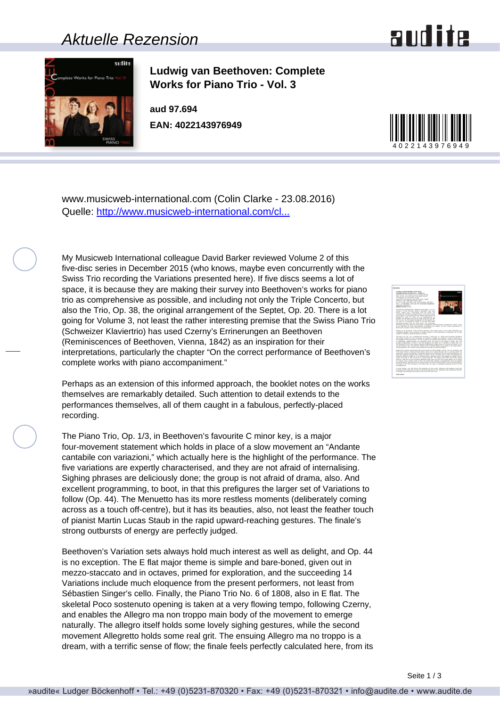### Aktuelle Rezension





**Ludwig van Beethoven: Complete Works for Piano Trio - Vol. 3**

**aud 97.694 EAN: 4022143976949**



www.musicweb-international.com (Colin Clarke - 23.08.2016) Quelle: [http://www.musicweb-international.com/cl...](http://www.musicweb-international.com/classrev/2016/Aug/Beethoven_trios_v3_97694.htm)

My Musicweb International colleague David Barker reviewed Volume 2 of this five-disc series in December 2015 (who knows, maybe even concurrently with the Swiss Trio recording the Variations presented here). If five discs seems a lot of space, it is because they are making their survey into Beethoven's works for piano trio as comprehensive as possible, and including not only the Triple Concerto, but also the Trio, Op. 38, the original arrangement of the Septet, Op. 20. There is a lot going for Volume 3, not least the rather interesting premise that the Swiss Piano Trio (Schweizer Klaviertrio) has used Czerny's Errinerungen an Beethoven (Reminiscences of Beethoven, Vienna, 1842) as an inspiration for their interpretations, particularly the chapter "On the correct performance of Beethoven's complete works with piano accompaniment."

Perhaps as an extension of this informed approach, the booklet notes on the works themselves are remarkably detailed. Such attention to detail extends to the performances themselves, all of them caught in a fabulous, perfectly-placed recording.

The Piano Trio, Op. 1/3, in Beethoven's favourite C minor key, is a major four-movement statement which holds in place of a slow movement an "Andante cantabile con variazioni," which actually here is the highlight of the performance. The five variations are expertly characterised, and they are not afraid of internalising. Sighing phrases are deliciously done; the group is not afraid of drama, also. And excellent programming, to boot, in that this prefigures the larger set of Variations to follow (Op. 44). The Menuetto has its more restless moments (deliberately coming across as a touch off-centre), but it has its beauties, also, not least the feather touch of pianist Martin Lucas Staub in the rapid upward-reaching gestures. The finale's strong outbursts of energy are perfectly judged.

Beethoven's Variation sets always hold much interest as well as delight, and Op. 44 is no exception. The E flat major theme is simple and bare-boned, given out in mezzo-staccato and in octaves, primed for exploration, and the succeeding 14 Variations include much eloquence from the present performers, not least from Sébastien Singer's cello. Finally, the Piano Trio No. 6 of 1808, also in E flat. The skeletal Poco sostenuto opening is taken at a very flowing tempo, following Czerny, and enables the Allegro ma non troppo main body of the movement to emerge naturally. The allegro itself holds some lovely sighing gestures, while the second movement Allegretto holds some real grit. The ensuing Allegro ma no troppo is a dream, with a terrific sense of flow; the finale feels perfectly calculated here, from its

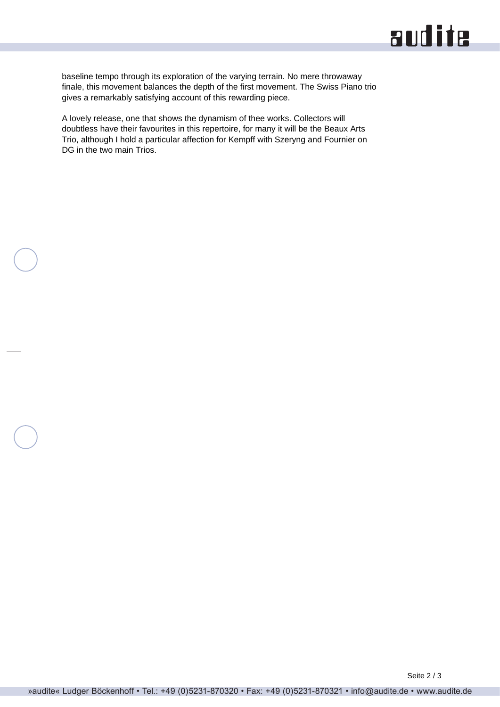## audite

baseline tempo through its exploration of the varying terrain. No mere throwaway finale, this movement balances the depth of the first movement. The Swiss Piano trio gives a remarkably satisfying account of this rewarding piece.

A lovely release, one that shows the dynamism of thee works. Collectors will doubtless have their favourites in this repertoire, for many it will be the Beaux Arts Trio, although I hold a particular affection for Kempff with Szeryng and Fournier on DG in the two main Trios.